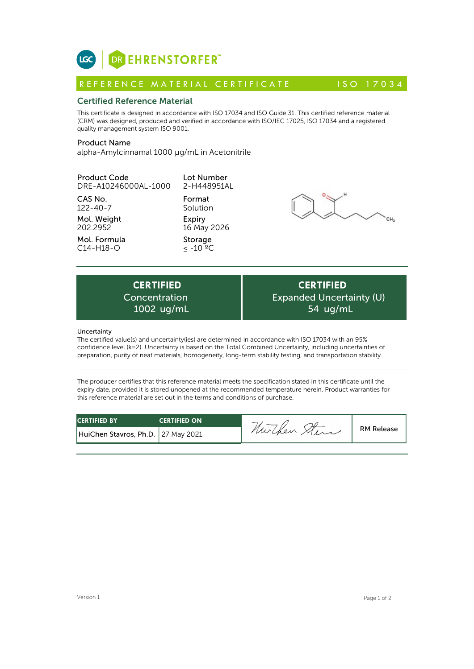

# Certified Reference Material

This certificate is designed in accordance with ISO 17034 and ISO Guide 31. This certified reference material (CRM) was designed, produced and verified in accordance with ISO/IEC 17025, ISO 17034 and a registered quality management system ISO 9001. **ICC**<br> **REFERENCE MATERIAL CERTIFICATE**<br> **REFERENCE MATERIAL CERTIFICATE** ISO 17034<br> **Certified Reference Material**<br>
CFIM) was designed, produced and verified in accordance with ISO 17034 and ISO Guide 31. This certified r

# Product Name

alpha-Amylcinnamal 1000 µg/mL in Acetonitrile

| <b>Product Code</b><br>DRE-A10246000AL-1000          | Lot Number<br>2-H448951AL                   |                                                                                                     |
|------------------------------------------------------|---------------------------------------------|-----------------------------------------------------------------------------------------------------|
| CAS No.<br>$122 - 40 - 7$<br>Mol. Weight<br>202.2952 | Format<br>Solution<br>Expiry<br>16 May 2026 |                                                                                                     |
| Mol. Formula<br>$C14-H18-O$                          | Storage<br>$< -10$ °C                       |                                                                                                     |
| <b>CERTIFIED</b><br>Concentration<br>1002 ug/mL      |                                             | <b>CERTIFIED</b><br>Expanded Uncertainty (U)<br>54 ug/mL                                            |
| Uncertainty                                          |                                             | The certified value(s) and uncertainty(ies) are determined in accordance with ISO 17034 with an 05% |

**CERTIFIED** Expanded Uncertainty (U) 54 ug/mL

## **Uncertainty**

The certified value(s) and uncertainty(ies) are determined in accordance with ISO 17034 with an 95% confidence level (k=2). Uncertainty is based on the Total Combined Uncertainty, including uncertainties of preparation, purity of neat materials, homogeneity, long-term stability testing, and transportation stability.

The producer certifies that this reference material meets the specification stated in this certificate until the expiry date, provided it is stored unopened at the recommended temperature herein. Product warranties for this reference material are set out in the terms and conditions of purchase.

| <b>CERTIFIED BY</b>                  | <b>CERTIFIED ON</b> | -           |                   |
|--------------------------------------|---------------------|-------------|-------------------|
| HuiChen Stavros, Ph.D.   27 May 2021 |                     | nurchen xui | <b>RM Release</b> |